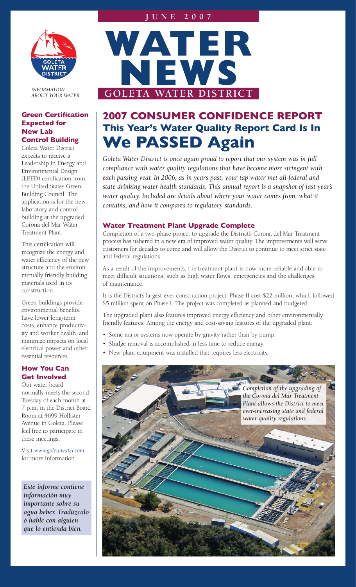## **J u n e 2 0 0 7**



*INFORMATION ABOUT YOUR WATER*

## **Green Certification Expected for New Lab Control Building**

Goleta Water District expects to receive a Leadership in Energy and Environmental Design (LEED) certification from the United States Green Building Council. The application is for the new laboratory and control building at the upgraded Corona del Mar Water Treatment Plant.

This certification will recognize the energy and water efficiency of the new structure and the environmentally friendly building materials used in its construction.

Green buildings provide environmental benefits, have lower long-term costs, enhance productivity and worker health, and minimize impacts on local electrical power and other essential resources.

## **How You Can Get Involved**

Our water board normally meets the second Tuesday of each month at 7 p.m. in the District Board Room at 4699 Hollister Avenue in Goleta. Please feel free to participate in these meetings.

Visit *www.goletawater.com* for more information.

*Este informe contiene información muy importante sobre su agua beber. Tradúzcalo ó hable con alguien que lo entienda bien.*



# **2007 CONSUMER CONFIDENCE REPORT This Year's Water Quality Report Card Is In We PASSED Again**

Goleta Water District is once again proud to report that our system was in full *compliance with water quality regulations that have become more stringent with each passing year. In 2006, as in years past, your tap water met all federal and state drinking water health standards. This annual report is a snapshot of last year's*  water quality. Included are details about where your water comes from, what it *contains, and how it compares to regulatory standards.* 

## **Water Treatment Plant Upgrade Complete**

Completion of a two-phase project to upgrade the District's Corona del Mar Treatment process has ushered in a new era of improved water quality. The improvements will serve customers for decades to come and will allow the District to continue to meet strict state and federal regulations.

As a result of the improvements, the treatment plant is now more reliable and able to meet difficult situations, such as high water flows, emergencies and the challenges of maintenance.

It is the District's largest-ever construction project. Phase II cost \$22 million, which followed \$5 million spent on Phase I. The project was completed as planned and budgeted.

The upgraded plant also features improved energy efficiency and other environmentally friendly features. Among the energy and cost-saving features of the upgraded plant:

- Some major systems now operate by gravity rather than by pump.
- Sludge removal is accomplished in less time to reduce energy.
- New plant equipment was installed that requires less electricity.

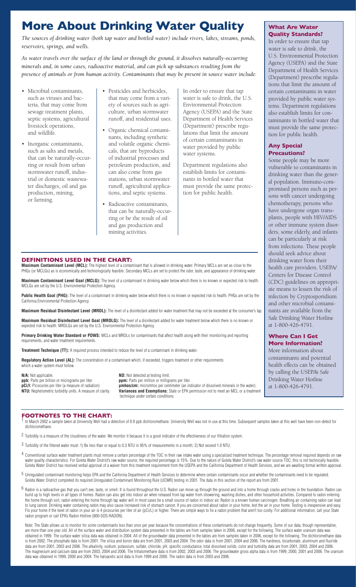# **More About Drinking Water Quality**

*The sources of drinking water (both tap water and bottled water) include rivers, lakes, streams, ponds, reservoirs, springs, and wells.* 

*As water travels over the surface of the land or through the ground, it dissolves naturally-occurring minerals and, in some cases, radioactive material, and can pick up substances resulting from the presence of animals or from human activity. Contaminants that may be present in source water include:*

- Microbial contaminants, such as viruses and bacteria, that may come from sewage treatment plants, septic systems, agricultural livestock operations, and wildlife.
- Inorganic contaminants, such as salts and metals, that can be naturally-occurring or result from urban stormwater runoff, industrial or domestic wastewater discharges, oil and gas production, mining, or farming.
- Pesticides and herbicides, that may come from a variety of sources such as agriculture, urban stormwater runoff, and residential uses.
- Organic chemical contaminants, including synthetic and volatile organic chemicals, that are byproducts of industrial processes and petroleum production, and can also come from gas stations, urban stormwater runoff, agricultural applications, and septic systems.
- Radioactive contaminants, that can be naturally-occurring or be the result of oil and gas production and mining activities.

In order to ensure that tap water is safe to drink, the U.S. Environmental Protection Agency (USEPA) and the State Department of Health Services (Department) prescribe regulations that limit the amount of certain contaminants in water provided by public water systems.

Department regulations also establish limits for contaminants in bottled water that must provide the same protection for public health.

## **What Are Water Quality Standards?**

In order to ensure that tap water is safe to drink, the U.S. Environmental Protection Agency (USEPA) and the State Department of Health Services (Department) prescribe regulations that limit the amount of certain contaminants in water provided by public water systems. Department regulations also establish limits for contaminants in bottled water that must provide the same protection for public health.

## **Any Special Precautions?**

Some people may be more vulnerable to contaminants in drinking water than the general population. Immuno-compromised persons such as persons with cancer undergoing chemotherapy, persons who have undergone organ transplants, people with HIV/AIDS or other immune system disorders, some elderly, and infants can be particularly at risk from infections. These people should seek advice about drinking water from their health care providers. USEPA/ Centers for Disease Control (CDC) guidelines on appropriate means to lessen the risk of infection by Cryptosporidium and other microbial contaminants are available from the Safe Drinking Water Hotline at 1-800-426-4791.

## **Where Can I Get More Information?**

More information about contaminants and potential health effects can be obtained by calling the USEPA's Safe Drinking Water Hotline at 1-800-426-4791.

## **DEFINITIONS USED IN THE CHART:**

**Maximum Contaminant Level (MCL):** The highest level of a contaminant that is allowed in drinking water. Primary MCLs are set as close to the PHGs (or MCLGs) as is economically and technologically feasible. Secondary MCLs are set to protect the odor, taste, and appearance of drinking water.

**Maximum Contaminant Level Goal (MCLG):** The level of a contaminant in drinking water below which there is no known or expected risk to health. MCLGs are set by the U.S. Environmental Protection Agency.

**Public Health Goal (PHG):** The level of a contaminant in drinking water below which there is no known or expected risk to health. PHGs are set by the California Environmental Protection Agency.

**Maximum Residual Disinfectant Level (MRDL):** The level of a disinfectant added for water treatment that may not be exceeded at the consumer's tap.

**Maximum Residual Disinfectant Level Goal (MRDLG):** The level of a disinfectant added for water treatment below which there is no known or expected risk to health. MRDLGs are set by the U.S. Environmental Protection Agency.

**Primary Drinking Water Standard or PDWS:** MCLs and MRDLs for contaminants that affect health along with their monitoring and reporting requirements, and water treatment requirements.

**Treatment Technique (TT):** A required process intended to reduce the level of a contaminant in drinking water.

Requiatory Action Level (AL): The concentration of a contaminant which, if exceeded, triggers treatment or other requirements which a water system must follow.

**N/A:** Not applicable.<br> **ppb:** Parts per billion or micrograms per liter.<br> **ppm:** Parts per million or milligrams per liter. **ppb:** Parts per billion or micrograms per liter.<br>**pCi/l:** Picocuries per liter (a measure of radiation)

**pCi/l:** Picocuries per liter (a measure of radiation) **provides and Exemptions:** State or EPA permission not to meet an MCL or a treatment and the water). **Variances and Exemptions:** State or EPA permission not to meet an MCL or a treatment technique under certain conditions.

## **FOOTNOTES TO THE CHART:**

In March 2002 a sample taken at University Well had a detection of 0.9 ppb dichloromethane. University Well was not in use at this time. Subsequent samples taken at this well have been non-detect for dichloromethane.

<sup>2</sup> Turbidity is a measure of the cloudiness of the water. We monitor it because it is a good indicator of the effectiveness of our filtration system.

- 3 Turbidity of the filtered water must: 1) Be less than or equal to 0.3 NTU in 95% of measurements in a month; 2) Not exceed 1.0 NTU.
- $4$  Conventional surface water treatment plants must remove a certain percentage of the TOC in their raw intake water using a specialized treatment technique. The percentage removal required depends on raw water quality characteristics. For Goleta Water District's raw water source, the required percentage is 15%. Due to the nature of Goleta Water District's raw water source TOC, this is not technically feasible. Goleta Water District has received verbal approval of a waiver from this treatment requirement from the USEPA and the California Department of Health Services, and we are awaiting formal written approval.
- 5 Unregulated contaminant monitoring helps EPA and the California Department of Health Services to determine where certain contaminants occur and whether the contaminants need to be regulated. Goleta Water District completed its required Unregulated Contaminant Monitoring Rule (UCMR) testing in 2001. The data in this section of the report are from 2001.
- Radon is a radioactive gas that you can't see, taste, or smell. It is found throughout the U.S. Radon can move up through the ground and into a home through cracks and holes in the foundation. Radon can build up to high levels in all types of homes. Radon can also get into indoor air when released from tap water from showering, washing dishes, and other household activities. Compared to radon entering the home through soil, radon entering the home through tap water will in most cases be a small source of radon in indoor air. Radon is a known human carcinogen. Breathing air containing radon can lead to lung cancer. Drinking water containing radon may also cause increased risk of stomach cancer. If you are concerned about radon in your home, test the air in your home. Testing is inexpensive and easy. Fix your home if the level of radon in your air is 4 picocuries per liter of air (pCi/L) or higher. There are simple ways to fix a radon problem that aren't too costly. For additional information, call your State radon program or call EPA's Radon Hotline (800-SOS-RADON).

Note: The State allows us to monitor for some contaminants less than once per year because the concentrations of these contaminants do not change frequently. Some of our data, though representative, are more than one year old. All of the surface water and distribution system data presented in the tables are from samples taken in 2006, except for the following. The surface water uranium data was obtained in 1999. The surface water silica data was obtained in 2004. All of the groundwater data presented in the tables are from samples taken in 2006, except for the following. The dichloromethane data is from 2002. The phosphate data is from 2001. The silica and boron data are from 2001, 2003 and 2004. The odor data is from 2001, 2004 and 2006. The hardness, bicarbonate, aluminum and fluoride data are from 2001, 2003 and 2006. The alkalinity, sodium, potassium, sulfate, chloride, pH, specific conductance, total dissolved solids, color and turbidity data are from 2001, 2003, 2004 and 2006. The magnesium and calcium data are from 2003, 2004 and 2006. The trihalomethane data is from 2002, 2003 and 2006. The groundwater gross alpha data is from 1999, 2000, 2001 and 2006. The uranium data was obtained in 1999, 2000 and 2004. The haloacetic acid data is from 1999 and 2000. The radon data is from 2003 and 2006.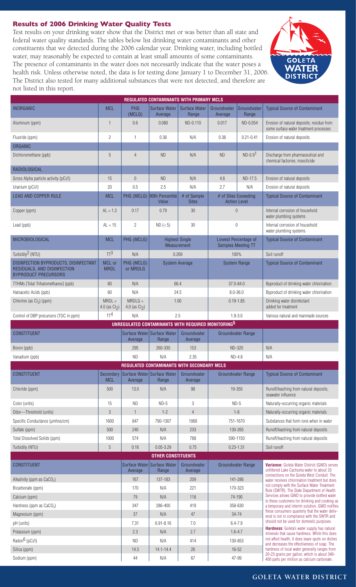## **Results of 2006 Drinking Water Quality Tests**

Test results on your drinking water show that the District met or was better than all state and federal water quality standards. The tables below list drinking water contaminants and other constituents that we detected during the 2006 calendar year. Drinking water, including bottled water, may reasonably be expected to contain at least small amounts of some contaminants. The presence of contaminants in the water does not necessarily indicate that the water poses a health risk. Unless otherwise noted, the data is for testing done January 1 to December 31, 2006. The District also tested for many additional substances that were not detected, and therefore are not listed in this report.



| <b>REGULATED CONTAMINANTS WITH PRIMARY MCLS</b>                                                     |                              |                               |                                                   |                             |                                                   |                          |                                                                                                                                          |
|-----------------------------------------------------------------------------------------------------|------------------------------|-------------------------------|---------------------------------------------------|-----------------------------|---------------------------------------------------|--------------------------|------------------------------------------------------------------------------------------------------------------------------------------|
| <b>INORGANIC</b>                                                                                    | <b>MCL</b>                   | <b>PHG</b>                    | <b>Surface Water</b>                              | <b>Surface Water</b>        | Groundwater                                       | Groundwater              | <b>Typical Source of Contaminant</b>                                                                                                     |
|                                                                                                     |                              | (MCLG)                        | Average                                           | Range                       | Average                                           | Range                    |                                                                                                                                          |
| Aluminum (ppm)                                                                                      | $\mathbf{1}$                 | 0.6                           | 0.080                                             | ND-0.110                    | 0.017                                             | ND-0.054                 | Erosion of natural deposits; residue from<br>some surface water treatment processes                                                      |
| Fluoride (ppm)                                                                                      | $\overline{2}$               | $\mathbf{1}$                  | 0.38                                              | N/A                         | 0.38                                              | $0.21 - 0.41$            | Erosion of natural deposits                                                                                                              |
| <b>ORGANIC</b>                                                                                      |                              |                               |                                                   |                             |                                                   |                          |                                                                                                                                          |
| Dichloromethane (ppb)                                                                               | 5                            | 4                             | <b>ND</b>                                         | N/A                         | <b>ND</b>                                         | $ND-0.91$                | Discharge from pharmaceutical and<br>chemical factories; insecticide                                                                     |
| <b>RADIOLOGICAL</b>                                                                                 |                              |                               |                                                   |                             |                                                   |                          |                                                                                                                                          |
| Gross Alpha particle activity (pCi/l)                                                               | 15                           | $\theta$                      | <b>ND</b>                                         | N/A                         | 4.8                                               | ND-17.5                  | Erosion of natural deposits                                                                                                              |
| Uranium (pCi/l)                                                                                     | 20                           | 0.5                           | 2.5                                               | N/A                         | 2.7                                               | N/A                      | Erosion of natural deposits                                                                                                              |
| <b>LEAD AND COPPER RULE</b>                                                                         | <b>MCL</b>                   |                               | PHG (MCLG) 90th Percentile<br>Value               | # of Sample<br><b>Sites</b> | # of Sites Exceeding<br><b>Action Level</b>       |                          | <b>Typical Source of Contaminant</b>                                                                                                     |
| Copper (ppm)                                                                                        | $AL = 1.3$                   | 0.17                          | 0.79                                              | 30                          | $\theta$                                          |                          | Internal corrosion of household<br>water plumbing systems                                                                                |
| Lead (ppb)                                                                                          | $AL = 15$                    | $\overline{2}$                | $ND$ (< 5)                                        | 30                          | $\bf{0}$                                          |                          | Internal corrosion of household<br>water plumbing systems                                                                                |
| MICROBIOLOGICAL                                                                                     | <b>MCL</b>                   | PHG (MCLG)                    | <b>Highest Single</b><br><b>Measurement</b>       |                             | Lowest Percentage of<br><b>Samples Meeting TT</b> |                          | <b>Typical Source of Contaminant</b>                                                                                                     |
| Turbidity <sup>2</sup> (NTU)                                                                        | TT <sup>3</sup>              | N/A                           | 0.269                                             |                             | 100%                                              |                          | Soil runoff                                                                                                                              |
| DISINFECTION BYPRODUCTS, DISINFECTANT<br>RESIDUALS, AND DISINFECTION<br><b>BYPRODUCT PRECURSORS</b> | MCL or<br><b>MRDL</b>        | PHG (MCLG)<br>or MRDLG        | <b>System Average</b>                             |                             | <b>System Range</b>                               |                          | <b>Typical Source of Contaminant</b>                                                                                                     |
| TTHMs [Total Trihalomethanes] (ppb)                                                                 | 80                           | N/A                           | 66.4                                              |                             | 37.0-84.0                                         |                          | Byproduct of drinking water chlorination                                                                                                 |
| Haloacetic Acids (ppb)                                                                              | 60                           | N/A                           | 24.5                                              |                             | $8.0 - 36.0$                                      |                          | Byproduct of drinking water chlorination                                                                                                 |
| Chlorine (as $Cl_2$ ) (ppm)                                                                         | $MRDL =$<br>4.0 (as $Cl_2$ ) | $MRDLG =$<br>4.0 (as $Cl_2$ ) | 1.00                                              |                             | $0.19 - 1.85$                                     |                          | Drinking water disinfectant<br>added for treatment                                                                                       |
| Control of DBP precursors (TOC in ppm)                                                              | TT <sup>4</sup>              | N/A                           | 2.5                                               |                             | $1.9 - 3.0$                                       |                          | Various natural and manmade sources                                                                                                      |
| UNREGULATED CONTAMINANTS WITH REQUIRED MONITORING <sup>5</sup>                                      |                              |                               |                                                   |                             |                                                   |                          |                                                                                                                                          |
| <b>CONSTITUENT</b>                                                                                  |                              | Average                       | Surface Water Surface Water<br>Range              | Groundwater<br>Average      | <b>Groundwater Range</b>                          |                          |                                                                                                                                          |
| Boron (ppb)                                                                                         |                              | 295                           | 260-330                                           | 153                         | <b>ND-320</b>                                     |                          | N/A                                                                                                                                      |
| Vanadium (ppb)                                                                                      |                              | <b>ND</b>                     | N/A                                               | 2.35                        | $ND-4.8$                                          |                          | N/A                                                                                                                                      |
|                                                                                                     |                              |                               | <b>REGULATED CONTAMINANTS WITH SECONDARY MCLS</b> |                             |                                                   |                          |                                                                                                                                          |
| <b>CONSTITUENT</b>                                                                                  | Secondary<br><b>MCL</b>      | Average                       | Surface Water Surface Water<br>Range              | Groundwater<br>Average      |                                                   | <b>Groundwater Range</b> | <b>Typical Source of Contaminant</b>                                                                                                     |
| Chloride (ppm)                                                                                      | 500                          | 13.0                          | N/A                                               | 98                          | 19-350                                            |                          | Runoff/leaching from natural deposits;<br>seawater influence                                                                             |
| Color (units)                                                                                       | 15                           | <b>ND</b>                     | $ND-5$                                            | 3                           | $ND-5$                                            |                          | Naturally-occurring organic materials                                                                                                    |
| Odor---Threshold (units)                                                                            | $\mathcal{S}$                | $\mathbf{1}$                  | $1 - 2$                                           | $\overline{4}$              | $1 - 8$                                           |                          | Naturally-occurring organic materials                                                                                                    |
| Specific Conductance (µmhos/cm)                                                                     | 1600                         | 847                           | 790-1307                                          | 1069                        | 751-1670                                          |                          | Substances that form ions when in water                                                                                                  |
| Sulfate (ppm)                                                                                       | 500                          | 240                           | N/A                                               | 233                         | 130-265                                           |                          | Runoff/leaching from natural deposits                                                                                                    |
| Total Dissolved Solids (ppm)                                                                        | 1000                         | 574                           | N/A                                               | 788                         | 590-1150                                          |                          | Runoff/leaching from natural deposits                                                                                                    |
| Turbidity (NTU)                                                                                     | $\overline{5}$               | 0.16                          | $0.05 - 3.29$                                     | 0.75                        | $0.23 - 1.31$                                     |                          | Soil runoff                                                                                                                              |
| <b>OTHER CONSTITUENTS</b>                                                                           |                              |                               |                                                   |                             |                                                   |                          |                                                                                                                                          |
| <b>CONSTITUENT</b>                                                                                  |                              | Average                       | Surface Water Surface Water<br>Range              | Groundwater<br>Average      | <b>Groundwater Range</b>                          |                          | Variance: Goleta Water District (GWD) serves<br>unfiltered Lake Cachuma water to about 33<br>connections on the Goleta West Conduit. The |
| Alkalinity (ppm as $CaCO3$ )                                                                        |                              | 167                           | 137-183                                           | 209                         | 141-286                                           |                          | water receives chlorination treatment but does                                                                                           |
| Bicarbonate (ppm)                                                                                   |                              | 170                           | N/A                                               | 221                         | 170-323                                           |                          | not comply with the Surface Water Treatment<br>Rule (SWTR). The State Department of Health                                               |
| Calcium (ppm)                                                                                       |                              | 79                            | N/A                                               | 118                         | 74-190                                            |                          | Services allows GWD to provide bottled water<br>to these customers for drinking and cooking as                                           |
| Hardness (ppm as $CaCO3$ )                                                                          |                              | 347                           | 286-400                                           | 419                         | 358-630                                           |                          | a temporary and interim solution. GWD notifies<br>these consumers quarterly that the water deliv-                                        |
| Magnesium (ppm)                                                                                     |                              | 37                            | N/A                                               | 47                          | $34 - 74$                                         |                          | ered is not in compliance with the SWTR and                                                                                              |
| pH (units)                                                                                          |                              | 7.31                          | $6.91 - 8.16$                                     | 7.0                         | $6.4 - 7.9$                                       |                          | should not be used for domestic purposes.<br>Hardness: Goleta's water supply has natural                                                 |
| Potassium (ppm)                                                                                     |                              | 2.3                           | N/A                                               | 2.7                         | $1.6 - 4.7$                                       |                          | minerals that cause hardness. While this does                                                                                            |
| Radon <sup>6</sup> (pCi/l)                                                                          |                              | <b>ND</b>                     | N/A                                               | 414                         | 130-853                                           |                          | not affect health, it does leave spots on dishes<br>and decreases the effectiveness of soap. The                                         |
| Silica (ppm)                                                                                        |                              | 14.3                          | 14.1-14.4                                         | 26                          | $16 - 52$                                         |                          | hardness of local water generally ranges from<br>20-23 grains per gallon, which is about 340-                                            |
| Sodium (ppm)                                                                                        |                              | 44                            | N/A                                               | 67                          | 47-99                                             |                          | 400 parts per million as calcium carbonate.                                                                                              |

## **Goleta Water District**